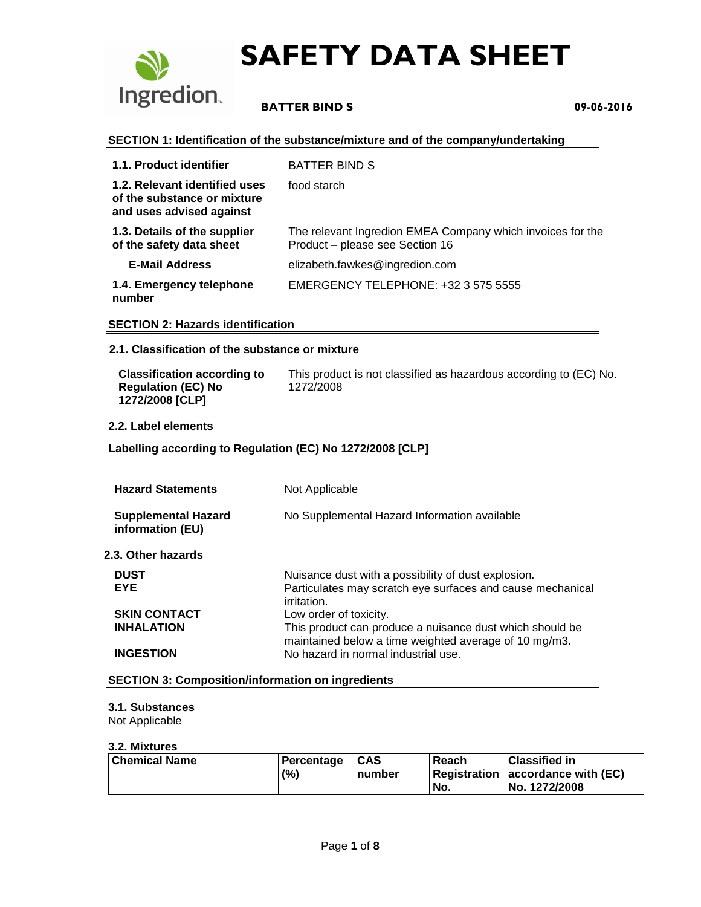

# **BATTER BIND S 09-06-2016**

#### **SECTION 1: Identification of the substance/mixture and of the company/undertaking**

| 1.1. Product identifier                                                                  | <b>BATTER BIND S</b>                                                                          |
|------------------------------------------------------------------------------------------|-----------------------------------------------------------------------------------------------|
| 1.2. Relevant identified uses<br>of the substance or mixture<br>and uses advised against | food starch                                                                                   |
| 1.3. Details of the supplier<br>of the safety data sheet                                 | The relevant Ingredion EMEA Company which invoices for the<br>Product - please see Section 16 |
| <b>E-Mail Address</b>                                                                    | elizabeth.fawkes@ingredion.com                                                                |
| 1.4. Emergency telephone<br>number                                                       | EMERGENCY TELEPHONE: +32 3 575 5555                                                           |

#### **SECTION 2: Hazards identification**

#### **2.1. Classification of the substance or mixture**

| <b>Classification according to</b>           | This product is not classified as hazardous according to (EC) No. |
|----------------------------------------------|-------------------------------------------------------------------|
| <b>Regulation (EC) No</b><br>1272/2008 [CLP] | 1272/2008                                                         |

#### **2.2. Label elements**

#### **Labelling according to Regulation (EC) No 1272/2008 [CLP]**

| <b>Hazard Statements</b>                       | Not Applicable                                                                                                                   |  |
|------------------------------------------------|----------------------------------------------------------------------------------------------------------------------------------|--|
| <b>Supplemental Hazard</b><br>information (EU) | No Supplemental Hazard Information available                                                                                     |  |
| 2.3. Other hazards                             |                                                                                                                                  |  |
| <b>DUST</b><br><b>EYE</b>                      | Nuisance dust with a possibility of dust explosion.<br>Particulates may scratch eye surfaces and cause mechanical<br>irritation. |  |
| <b>SKIN CONTACT</b>                            | Low order of toxicity.                                                                                                           |  |
| <b>INHALATION</b>                              | This product can produce a nuisance dust which should be<br>maintained below a time weighted average of 10 mg/m3.                |  |
| <b>INGESTION</b>                               | No hazard in normal industrial use.                                                                                              |  |

#### **SECTION 3: Composition/information on ingredients**

#### **3.1. Substances**

Not Applicable

#### **3.2. Mixtures**

| Chemical Name | Percentage | $1CAS$ | Reach | <b>Classified in</b>              |
|---------------|------------|--------|-------|-----------------------------------|
|               | (%)        | number |       | Registration accordance with (EC) |
|               |            |        | No.   | No. 1272/2008                     |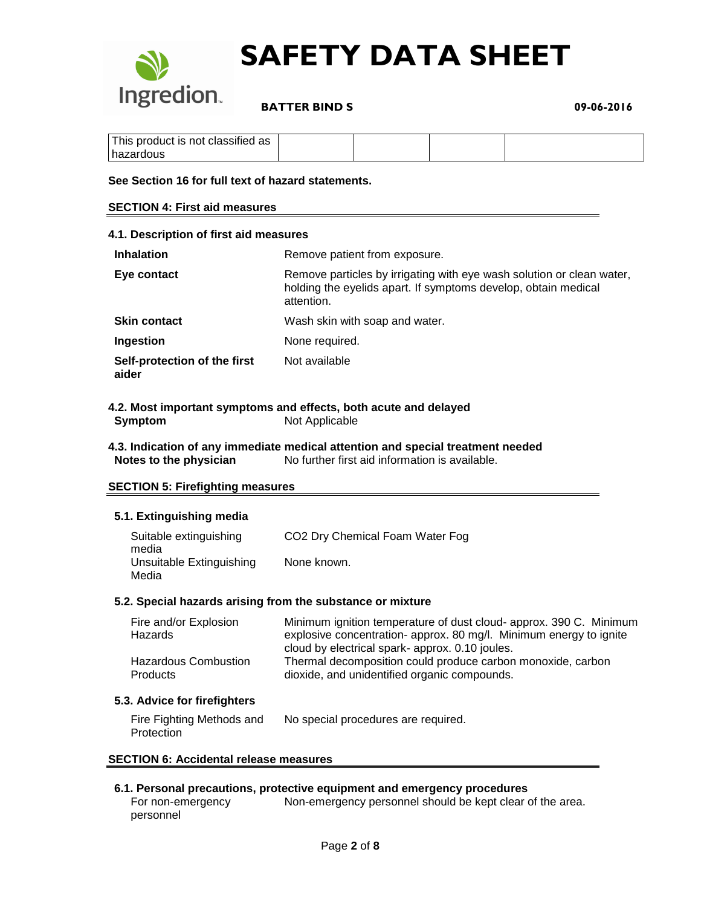

 **BATTER BIND S 09-06-2016**

| This product is not classified as |  |  |
|-----------------------------------|--|--|
| hazardous                         |  |  |

#### **See Section 16 for full text of hazard statements.**

#### **SECTION 4: First aid measures**

| 4.1. Description of first aid measures |                                                                                                                                                       |  |  |
|----------------------------------------|-------------------------------------------------------------------------------------------------------------------------------------------------------|--|--|
| <b>Inhalation</b>                      | Remove patient from exposure.                                                                                                                         |  |  |
| Eye contact                            | Remove particles by irrigating with eye wash solution or clean water,<br>holding the eyelids apart. If symptoms develop, obtain medical<br>attention. |  |  |
| <b>Skin contact</b>                    | Wash skin with soap and water.                                                                                                                        |  |  |
| <b>Ingestion</b>                       | None required.                                                                                                                                        |  |  |
| Self-protection of the first<br>aider  | Not available                                                                                                                                         |  |  |

#### **4.2. Most important symptoms and effects, both acute and delayed Symptom** Not Applicable

#### **4.3. Indication of any immediate medical attention and special treatment needed Notes to the physician** No further first aid information is available.

#### **SECTION 5: Firefighting measures**

#### **5.1. Extinguishing media**

| Suitable extinguishing<br>media   | CO <sub>2</sub> Dry Chemical Foam Water Fog |
|-----------------------------------|---------------------------------------------|
| Unsuitable Extinguishing<br>Media | None known.                                 |

#### **5.2. Special hazards arising from the substance or mixture**

| Fire and/or Explosion                          | Minimum ignition temperature of dust cloud- approx. 390 C. Minimum                                                                                             |
|------------------------------------------------|----------------------------------------------------------------------------------------------------------------------------------------------------------------|
| <b>Hazards</b>                                 | explosive concentration- approx. 80 mg/l. Minimum energy to ignite                                                                                             |
| <b>Hazardous Combustion</b><br><b>Products</b> | cloud by electrical spark- approx. 0.10 joules.<br>Thermal decomposition could produce carbon monoxide, carbon<br>dioxide, and unidentified organic compounds. |

#### **5.3. Advice for firefighters**

| Fire Fighting Methods and | No special procedures are required. |
|---------------------------|-------------------------------------|
| Protection                |                                     |

#### **SECTION 6: Accidental release measures**

#### **6.1. Personal precautions, protective equipment and emergency procedures**

For non-emergency personnel Non-emergency personnel should be kept clear of the area.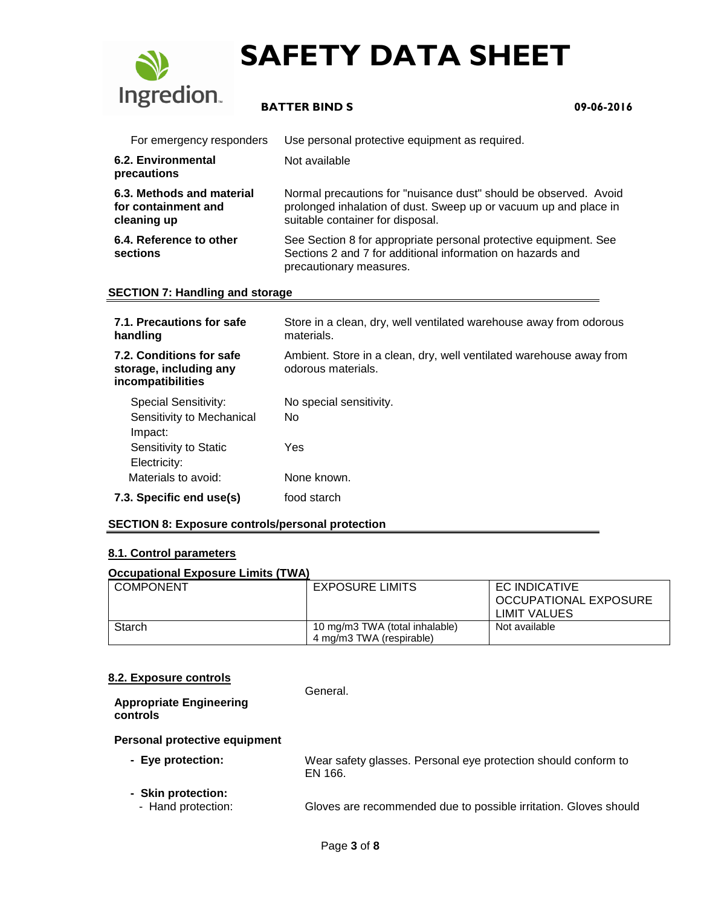

# **BATTER BIND S 09-06-2016**

| For emergency responders                                        | Use personal protective equipment as required.                                                                                                                           |  |
|-----------------------------------------------------------------|--------------------------------------------------------------------------------------------------------------------------------------------------------------------------|--|
| 6.2. Environmental<br>precautions                               | Not available                                                                                                                                                            |  |
| 6.3. Methods and material<br>for containment and<br>cleaning up | Normal precautions for "nuisance dust" should be observed. Avoid<br>prolonged inhalation of dust. Sweep up or vacuum up and place in<br>suitable container for disposal. |  |
| 6.4. Reference to other<br>sections                             | See Section 8 for appropriate personal protective equipment. See<br>Sections 2 and 7 for additional information on hazards and<br>precautionary measures.                |  |

#### **SECTION 7: Handling and storage**

| 7.1. Precautions for safe<br>handling                                   | Store in a clean, dry, well ventilated warehouse away from odorous<br>materials.          |
|-------------------------------------------------------------------------|-------------------------------------------------------------------------------------------|
| 7.2. Conditions for safe<br>storage, including any<br>incompatibilities | Ambient. Store in a clean, dry, well ventilated warehouse away from<br>odorous materials. |
| <b>Special Sensitivity:</b><br>Sensitivity to Mechanical<br>Impact:     | No special sensitivity.<br>No.                                                            |
| Sensitivity to Static<br>Electricity:                                   | Yes                                                                                       |
| Materials to avoid:                                                     | None known.                                                                               |
| 7.3. Specific end use(s)                                                | food starch                                                                               |

#### **SECTION 8: Exposure controls/personal protection**

#### **8.1. Control parameters**

#### **Occupational Exposure Limits (TWA)**

| <b>COMPONENT</b> | <b>EXPOSURE LIMITS</b>                                     | <b>EC INDICATIVE</b><br><b>OCCUPATIONAL EXPOSURE</b><br>LIMIT VALUES |
|------------------|------------------------------------------------------------|----------------------------------------------------------------------|
| Starch           | 10 mg/m3 TWA (total inhalable)<br>4 mg/m3 TWA (respirable) | Not available                                                        |

#### **8.2. Exposure controls**

General.

#### **Appropriate Engineering controls**

#### **Personal protective equipment**

- **Eye protection:** Wear safety glasses. Personal eye protection should conform to EN 166.
- **Skin protection:**
	- Hand protection: Gloves are recommended due to possible irritation. Gloves should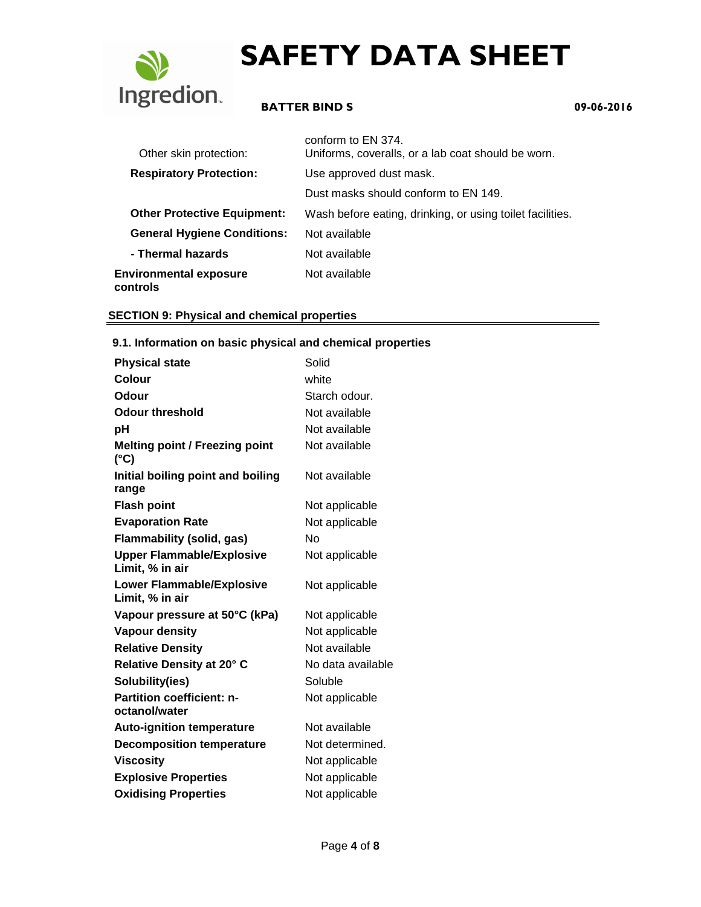

# **BATTER BIND S 09-06-2016**

| Other skin protection:                    | conform to EN 374.<br>Uniforms, coveralls, or a lab coat should be worn. |
|-------------------------------------------|--------------------------------------------------------------------------|
| <b>Respiratory Protection:</b>            | Use approved dust mask.                                                  |
|                                           | Dust masks should conform to EN 149.                                     |
| <b>Other Protective Equipment:</b>        | Wash before eating, drinking, or using toilet facilities.                |
| <b>General Hygiene Conditions:</b>        | Not available                                                            |
| - Thermal hazards                         | Not available                                                            |
| <b>Environmental exposure</b><br>controls | Not available                                                            |

### **SECTION 9: Physical and chemical properties**

#### **9.1. Information on basic physical and chemical properties**

| <b>Physical state</b>                                  | Solid             |
|--------------------------------------------------------|-------------------|
| Colour                                                 | white             |
| Odour                                                  | Starch odour.     |
| <b>Odour threshold</b>                                 | Not available     |
| рH                                                     | Not available     |
| <b>Melting point / Freezing point</b><br>$(^{\circ}C)$ | Not available     |
| Initial boiling point and boiling<br>range             | Not available     |
| <b>Flash point</b>                                     | Not applicable    |
| <b>Evaporation Rate</b>                                | Not applicable    |
| <b>Flammability (solid, gas)</b>                       | Nο                |
| <b>Upper Flammable/Explosive</b><br>Limit, % in air    | Not applicable    |
| <b>Lower Flammable/Explosive</b><br>Limit, % in air    | Not applicable    |
| Vapour pressure at 50°C (kPa)                          | Not applicable    |
| <b>Vapour density</b>                                  | Not applicable    |
| <b>Relative Density</b>                                | Not available     |
| Relative Density at 20° C                              | No data available |
| Solubility(ies)                                        | Soluble           |
| <b>Partition coefficient: n-</b><br>octanol/water      | Not applicable    |
| <b>Auto-ignition temperature</b>                       | Not available     |
| <b>Decomposition temperature</b>                       | Not determined.   |
| <b>Viscosity</b>                                       | Not applicable    |
| <b>Explosive Properties</b>                            | Not applicable    |
| <b>Oxidising Properties</b>                            | Not applicable    |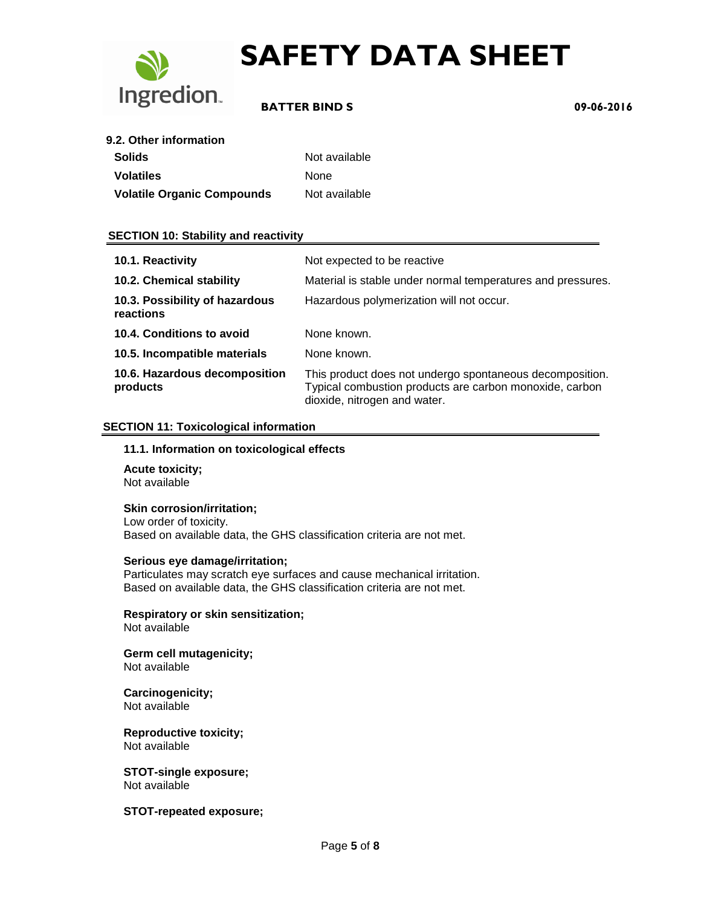

### **BATTER BIND S 09-06-2016**

| <b>Solids</b>                     | Not available |
|-----------------------------------|---------------|
| <b>Volatiles</b>                  | <b>None</b>   |
| <b>Volatile Organic Compounds</b> | Not available |

### **SECTION 10: Stability and reactivity**

| 10.1. Reactivity                            | Not expected to be reactive                                                                                                                         |
|---------------------------------------------|-----------------------------------------------------------------------------------------------------------------------------------------------------|
| 10.2. Chemical stability                    | Material is stable under normal temperatures and pressures.                                                                                         |
| 10.3. Possibility of hazardous<br>reactions | Hazardous polymerization will not occur.                                                                                                            |
| 10.4. Conditions to avoid                   | None known.                                                                                                                                         |
| 10.5. Incompatible materials                | None known.                                                                                                                                         |
| 10.6. Hazardous decomposition<br>products   | This product does not undergo spontaneous decomposition.<br>Typical combustion products are carbon monoxide, carbon<br>dioxide, nitrogen and water. |

#### **SECTION 11: Toxicological information**

#### **11.1. Information on toxicological effects**

**Acute toxicity;** Not available

#### **Skin corrosion/irritation;**

Low order of toxicity. Based on available data, the GHS classification criteria are not met.

#### **Serious eye damage/irritation;**

Particulates may scratch eye surfaces and cause mechanical irritation. Based on available data, the GHS classification criteria are not met.

**Respiratory or skin sensitization;** Not available

**Germ cell mutagenicity;** Not available

#### **Carcinogenicity;** Not available

**Reproductive toxicity;** Not available

**STOT-single exposure;** Not available

#### **STOT-repeated exposure;**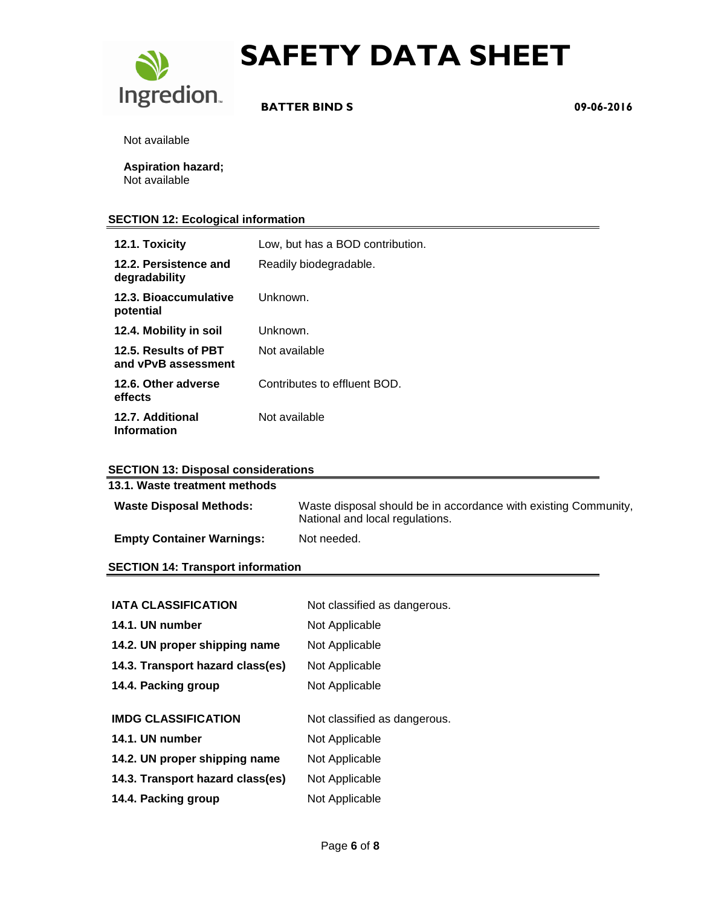

 **BATTER BIND S 09-06-2016**

Not available

**Aspiration hazard;** Not available

### **SECTION 12: Ecological information**

| 12.1. Toxicity                              | Low, but has a BOD contribution. |
|---------------------------------------------|----------------------------------|
| 12.2. Persistence and<br>degradability      | Readily biodegradable.           |
| 12.3. Bioaccumulative<br>potential          | Unknown.                         |
| 12.4. Mobility in soil                      | Unknown.                         |
| 12.5. Results of PBT<br>and vPvB assessment | Not available                    |
| 12.6. Other adverse<br>effects              | Contributes to effluent BOD.     |
| 12.7. Additional<br><b>Information</b>      | Not available                    |

#### **SECTION 13: Disposal considerations**

| 13.1. Waste treatment methods            |                                                                                                    |
|------------------------------------------|----------------------------------------------------------------------------------------------------|
| <b>Waste Disposal Methods:</b>           | Waste disposal should be in accordance with existing Community,<br>National and local regulations. |
| <b>Empty Container Warnings:</b>         | Not needed.                                                                                        |
| <b>SECTION 14: Transport information</b> |                                                                                                    |
|                                          |                                                                                                    |

| <b>IATA CLASSIFICATION</b>       | Not classified as dangerous. |
|----------------------------------|------------------------------|
| 14.1. UN number                  | Not Applicable               |
| 14.2. UN proper shipping name    | Not Applicable               |
| 14.3. Transport hazard class(es) | Not Applicable               |
| 14.4. Packing group              | Not Applicable               |
|                                  |                              |
|                                  |                              |
| <b>IMDG CLASSIFICATION</b>       | Not classified as dangerous. |
| 14.1. UN number                  | Not Applicable               |
| 14.2. UN proper shipping name    | Not Applicable               |
| 14.3. Transport hazard class(es) | Not Applicable               |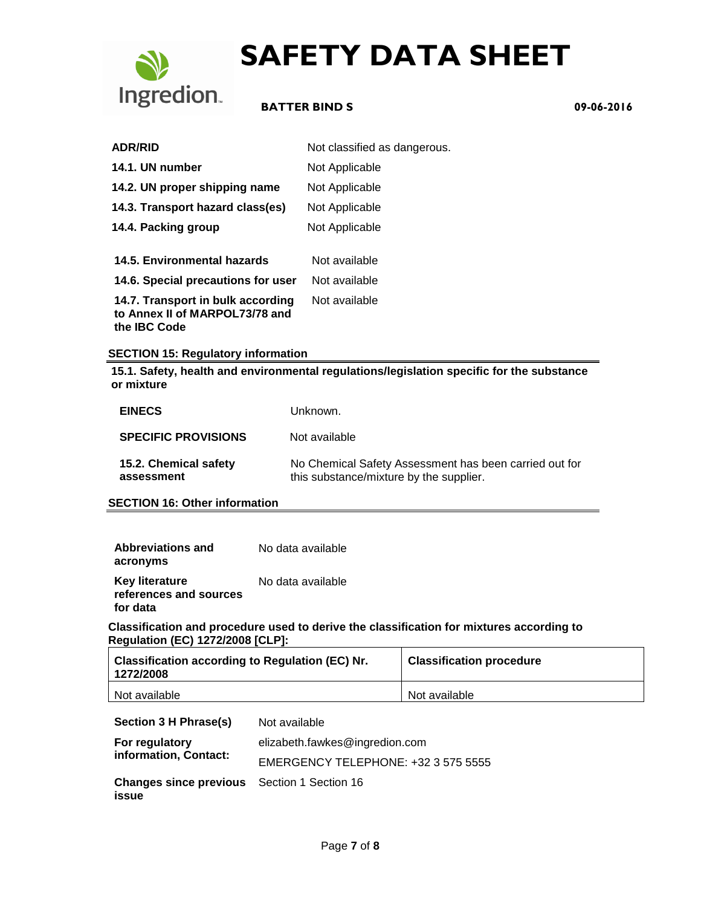

### **BATTER BIND S 09-06-2016**

| <b>ADR/RID</b>                                                                             | Not classified as dangerous. |
|--------------------------------------------------------------------------------------------|------------------------------|
| 14.1. UN number                                                                            | Not Applicable               |
| 14.2. UN proper shipping name                                                              | Not Applicable               |
| 14.3. Transport hazard class(es)                                                           | Not Applicable               |
| 14.4. Packing group                                                                        | Not Applicable               |
| 14.5. Environmental hazards                                                                | Not available                |
| 14.6. Special precautions for user                                                         | Not available                |
| 14.7. Transport in bulk according<br>to Annex II of MARPOL73/78 and<br>the <b>IBC</b> Code | Not available                |

#### **SECTION 15: Regulatory information**

**15.1. Safety, health and environmental regulations/legislation specific for the substance or mixture**

| <b>EINECS</b>                       | Unknown.                                                                                          |
|-------------------------------------|---------------------------------------------------------------------------------------------------|
| <b>SPECIFIC PROVISIONS</b>          | Not available                                                                                     |
| 15.2. Chemical safety<br>assessment | No Chemical Safety Assessment has been carried out for<br>this substance/mixture by the supplier. |

**SECTION 16: Other information**

| <b>Abbreviations and</b>                        | No data available |
|-------------------------------------------------|-------------------|
| acronyms                                        |                   |
| <b>Key literature</b><br>references and sources | No data available |
| for data                                        |                   |

**Classification and procedure used to derive the classification for mixtures according to Regulation (EC) 1272/2008 [CLP]:**

| <b>Classification according to Regulation (EC) Nr.</b><br>1272/2008 | <b>Classification procedure</b> |
|---------------------------------------------------------------------|---------------------------------|
| Not available                                                       | Not available                   |

**Section 3 H Phrase(s)** Not available

| For regulatory<br>information, Contact:                     | elizabeth.fawkes@ingredion.com      |
|-------------------------------------------------------------|-------------------------------------|
|                                                             | EMERGENCY TELEPHONE: +32 3 575 5555 |
| <b>Changes since previous</b> Section 1 Section 16<br>issue |                                     |